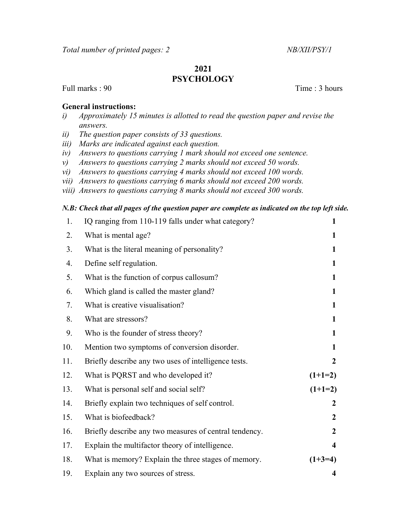## 2021 **PSYCHOLOGY**

Full marks : 90 Time : 3 hours

## General instructions:

- i) Approximately 15 minutes is allotted to read the question paper and revise the answers.
- ii) The question paper consists of 33 questions.
- iii) Marks are indicated against each question.
- iv) Answers to questions carrying 1 mark should not exceed one sentence.
- v) Answers to questions carrying 2 marks should not exceed 50 words.
- vi) Answers to questions carrying 4 marks should not exceed 100 words.
- vii) Answers to questions carrying 6 marks should not exceed 200 words.
- viii) Answers to questions carrying 8 marks should not exceed 300 words.

## N.B: Check that all pages of the question paper are complete as indicated on the top left side.

| 1.  | IQ ranging from 110-119 falls under what category?     | $\mathbf{1}$            |
|-----|--------------------------------------------------------|-------------------------|
| 2.  | What is mental age?                                    | 1                       |
| 3.  | What is the literal meaning of personality?            | 1                       |
| 4.  | Define self regulation.                                | $\mathbf{1}$            |
| 5.  | What is the function of corpus callosum?               | 1                       |
| 6.  | Which gland is called the master gland?                | 1                       |
| 7.  | What is creative visualisation?                        | 1                       |
| 8.  | What are stressors?                                    | $\mathbf{1}$            |
| 9.  | Who is the founder of stress theory?                   | 1                       |
| 10. | Mention two symptoms of conversion disorder.           | 1                       |
| 11. | Briefly describe any two uses of intelligence tests.   | $\overline{2}$          |
| 12. | What is PQRST and who developed it?                    | $(1+1=2)$               |
| 13. | What is personal self and social self?                 | $(1+1=2)$               |
| 14. | Briefly explain two techniques of self control.        | $\boldsymbol{2}$        |
| 15. | What is biofeedback?                                   | $\overline{2}$          |
| 16. | Briefly describe any two measures of central tendency. | $\overline{2}$          |
| 17. | Explain the multifactor theory of intelligence.        | $\overline{\mathbf{4}}$ |
| 18. | What is memory? Explain the three stages of memory.    | $(1+3=4)$               |
| 19. | Explain any two sources of stress.                     | 4                       |